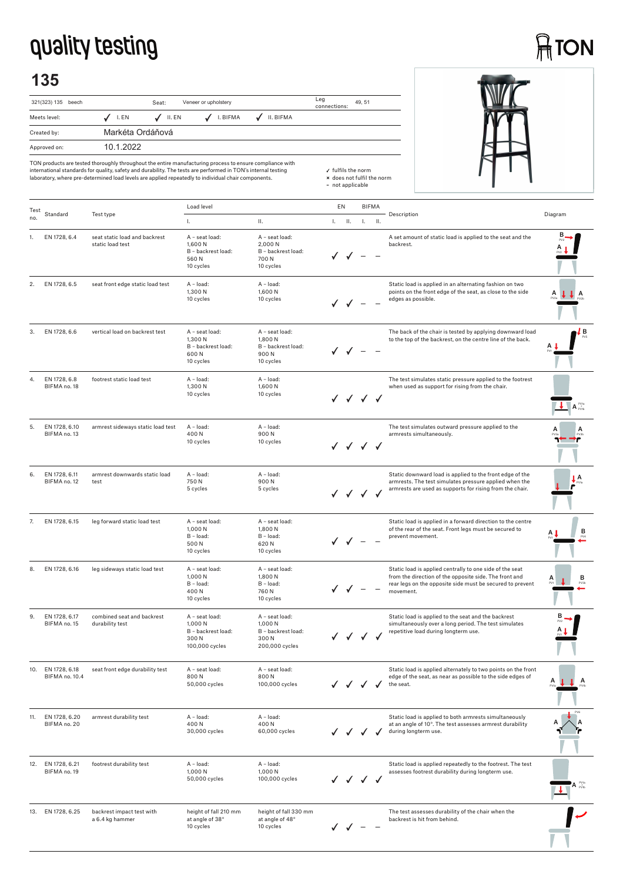## **quality testing**

## **ATON**

## **135**





TON products are tested thoroughly throughout the entire manufacturing process to ensure compliance with<br>international standards for quality, safety and durability. The tests are performed in TON's internal testing<br>laborat

| Test | Standard                        |                                                   | Load level                                                                |                                                                           | EN |                                                     |    | <b>BIFMA</b> |                                                                                                                                                                                              |                                                                |
|------|---------------------------------|---------------------------------------------------|---------------------------------------------------------------------------|---------------------------------------------------------------------------|----|-----------------------------------------------------|----|--------------|----------------------------------------------------------------------------------------------------------------------------------------------------------------------------------------------|----------------------------------------------------------------|
| no.  |                                 | Test type                                         | Ι.                                                                        | П.                                                                        |    | $L = IL$                                            | Ъ. | H.           | Description                                                                                                                                                                                  | Diagram                                                        |
| 1.   | EN 1728, 6.4                    | seat static load and backrest<br>static load test | A - seat load:<br>1,600 N<br>B - backrest load:<br>560N<br>10 cycles      | A - seat load:<br>2,000 N<br>B - backrest load:<br>700N<br>10 cycles      |    |                                                     |    |              | A set amount of static load is applied to the seat and the<br>backrest.                                                                                                                      |                                                                |
| 2.   | EN 1728, 6.5                    | seat front edge static load test                  | A - load:<br>1,300 N<br>10 cycles                                         | A - load:<br>1,600 N<br>10 cycles                                         |    |                                                     |    |              | Static load is applied in an alternating fashion on two<br>points on the front edge of the seat, as close to the side<br>edges as possible.                                                  | A                                                              |
| 3.   | EN 1728, 6.6                    | vertical load on backrest test                    | A - seat load:<br>1,300 N<br>B - backrest load:<br>600N<br>10 cycles      | A - seat load:<br>1,800 N<br>B - backrest load:<br>900N<br>10 cycles      |    |                                                     |    |              | The back of the chair is tested by applying downward load<br>to the top of the backrest, on the centre line of the back.                                                                     | ĮВ                                                             |
| 4.   | EN 1728, 6.8<br>BIFMA no. 18    | footrest static load test                         | A - load:<br>1,300 N<br>10 cycles                                         | A - load:<br>1,600N<br>10 cycles                                          |    | √ √ √ √                                             |    |              | The test simulates static pressure applied to the footrest<br>when used as support for rising from the chair.                                                                                | $\overline{\mathbf{A}}$ $\mathbf{A}$ $\mathbf{r}_{\text{vib}}$ |
| 5.   | EN 1728, 6.10<br>BIFMA no. 13   | armrest sideways static load test                 | A - load:<br>400N<br>10 cycles                                            | A - load:<br>900N<br>10 cycles                                            |    | $\checkmark$ $\checkmark$ $\checkmark$ $\checkmark$ |    |              | The test simulates outward pressure applied to the<br>armrests simultaneously.                                                                                                               |                                                                |
| 6.   | EN 1728, 6.11<br>BIFMA no. 12   | armrest downwards static load<br>test             | A - load:<br>750N<br>5 cycles                                             | A - load:<br>900N<br>5 cycles                                             |    |                                                     |    |              | Static downward load is applied to the front edge of the<br>armrests. The test simulates pressure applied when the<br>armrests are used as supports for rising from the chair.               | А                                                              |
| 7.   | EN 1728, 6.15                   | leg forward static load test                      | A - seat load:<br>1,000 N<br>B - load:<br>500N<br>10 cycles               | A - seat load:<br>1,800 N<br>B - load:<br>620 N<br>10 cycles              |    |                                                     |    |              | Static load is applied in a forward direction to the centre<br>of the rear of the seat. Front legs must be secured to<br>prevent movement.                                                   | в                                                              |
| 8.   | EN 1728, 6.16                   | leg sideways static load test                     | A - seat load:<br>1,000N<br>B - load:<br>400N<br>10 cycles                | A - seat load:<br>1,800 N<br>B - load:<br>760 N<br>10 cycles              |    |                                                     |    |              | Static load is applied centrally to one side of the seat<br>from the direction of the opposite side. The front and<br>rear legs on the opposite side must be secured to prevent<br>movement. | в                                                              |
| 9.   | EN 1728, 6.17<br>BIFMA no. 15   | combined seat and backrest<br>durability test     | A - seat load:<br>1.000 N<br>B - backrest load:<br>300N<br>100,000 cycles | A - seat load:<br>1,000 N<br>B - backrest load:<br>300N<br>200,000 cycles |    | J J J J                                             |    |              | Static load is applied to the seat and the backrest<br>simultaneously over a long period. The test simulates<br>repetitive load during longterm use.                                         |                                                                |
| IU.  | EN 1728, 6.18<br>BIFMA no. 10.4 | seat front edge durability test                   | A - seat load:<br>800N<br>50,000 cycles                                   | A - seat load:<br>800N<br>100,000 cycles                                  |    |                                                     |    |              | Static load is applied alternately to two points on the front<br>edge of the seat, as near as possible to the side edges of<br>the seat.                                                     | A                                                              |
| 11.  | EN 1728, 6.20<br>BIFMA no. 20   | armrest durability test                           | A - load:<br>400N<br>30,000 cycles                                        | A - load:<br>400N<br>60,000 cycles                                        |    |                                                     |    |              | Static load is applied to both armrests simultaneously<br>at an angle of 10°. The test assesses armrest durability<br>during longterm use.                                                   |                                                                |
| 12.  | EN 1728, 6.21<br>BIFMA no. 19   | footrest durability test                          | A - load:<br>1,000 N<br>50,000 cycles                                     | A - load:<br>1,000 N<br>100,000 cycles                                    |    | J J J                                               |    | $\checkmark$ | Static load is applied repeatedly to the footrest. The test<br>assesses footrest durability during longterm use.                                                                             |                                                                |
| 13.  | EN 1728, 6.25                   | backrest impact test with<br>a 6.4 kg hammer      | height of fall 210 mm<br>at angle of 38°<br>10 cycles                     | height of fall 330 mm<br>at angle of 48°<br>10 cycles                     |    |                                                     |    |              | The test assesses durability of the chair when the<br>backrest is hit from behind.                                                                                                           |                                                                |